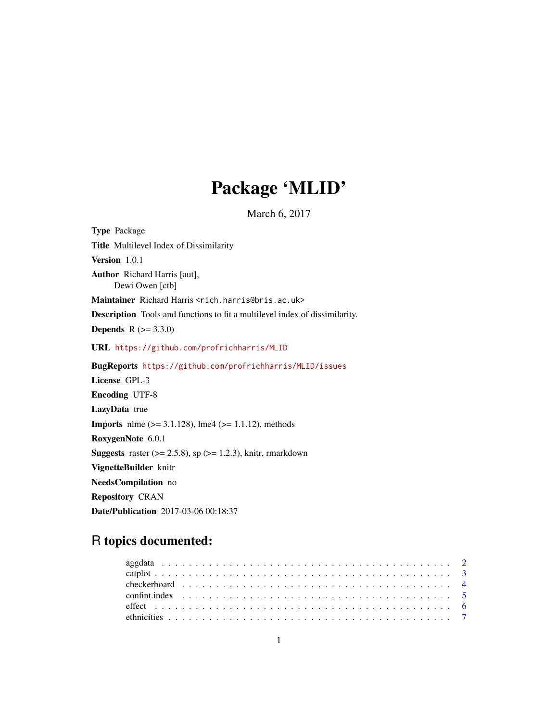# Package 'MLID'

March 6, 2017

<span id="page-0-0"></span>Type Package Title Multilevel Index of Dissimilarity Version 1.0.1 Author Richard Harris [aut], Dewi Owen [ctb] Maintainer Richard Harris <rich.harris@bris.ac.uk> Description Tools and functions to fit a multilevel index of dissimilarity. **Depends**  $R (= 3.3.0)$ URL <https://github.com/profrichharris/MLID> BugReports <https://github.com/profrichharris/MLID/issues> License GPL-3 Encoding UTF-8 LazyData true **Imports** nlme  $(>= 3.1.128)$ , lme4  $(>= 1.1.12)$ , methods RoxygenNote 6.0.1 **Suggests** raster  $(>= 2.5.8)$ , sp  $(>= 1.2.3)$ , knitr, rmarkdown VignetteBuilder knitr NeedsCompilation no Repository CRAN Date/Publication 2017-03-06 00:18:37

# R topics documented: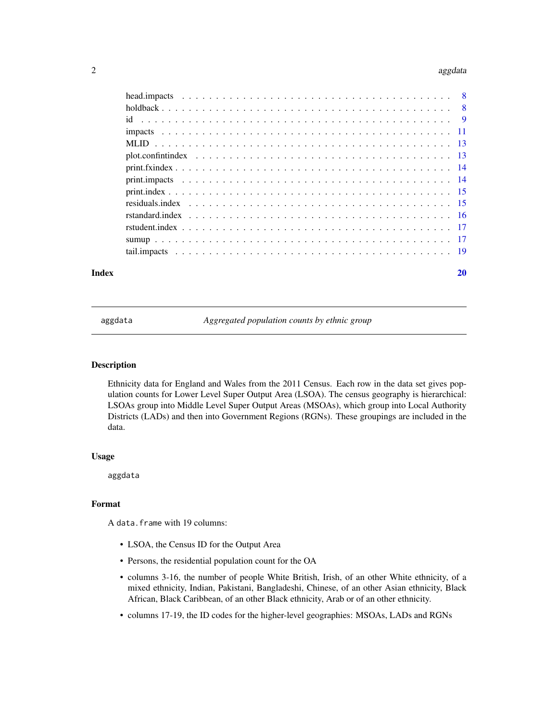#### <span id="page-1-0"></span> $2$  aggdata

| Index | 20 |
|-------|----|

<span id="page-1-1"></span>aggdata *Aggregated population counts by ethnic group*

#### Description

Ethnicity data for England and Wales from the 2011 Census. Each row in the data set gives population counts for Lower Level Super Output Area (LSOA). The census geography is hierarchical: LSOAs group into Middle Level Super Output Areas (MSOAs), which group into Local Authority Districts (LADs) and then into Government Regions (RGNs). These groupings are included in the data.

#### Usage

aggdata

#### Format

A data.frame with 19 columns:

- LSOA, the Census ID for the Output Area
- Persons, the residential population count for the OA
- columns 3-16, the number of people White British, Irish, of an other White ethnicity, of a mixed ethnicity, Indian, Pakistani, Bangladeshi, Chinese, of an other Asian ethnicity, Black African, Black Caribbean, of an other Black ethnicity, Arab or of an other ethnicity.
- columns 17-19, the ID codes for the higher-level geographies: MSOAs, LADs and RGNs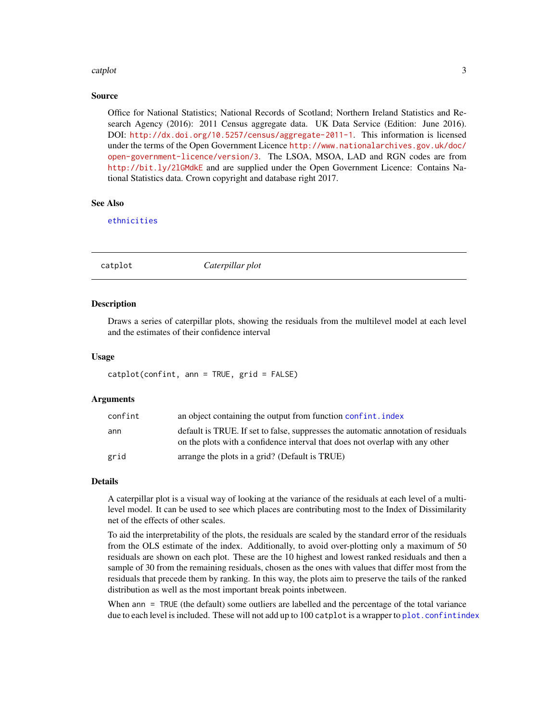#### <span id="page-2-0"></span>catplot 3

#### Source

Office for National Statistics; National Records of Scotland; Northern Ireland Statistics and Research Agency (2016): 2011 Census aggregate data. UK Data Service (Edition: June 2016). DOI: <http://dx.doi.org/10.5257/census/aggregate-2011-1>. This information is licensed under the terms of the Open Government Licence [http://www.nationalarchives.gov.uk/doc/](http://www.nationalarchives.gov.uk/doc/open-government-licence/version/3) [open-government-licence/version/3](http://www.nationalarchives.gov.uk/doc/open-government-licence/version/3). The LSOA, MSOA, LAD and RGN codes are from <http://bit.ly/2lGMdkE> and are supplied under the Open Government Licence: Contains National Statistics data. Crown copyright and database right 2017.

#### See Also

[ethnicities](#page-6-1)

<span id="page-2-1"></span>catplot *Caterpillar plot*

#### Description

Draws a series of caterpillar plots, showing the residuals from the multilevel model at each level and the estimates of their confidence interval

#### Usage

```
catplot(confint, ann = TRUE, grid = FALSE)
```
#### Arguments

| confint | an object containing the output from function confint. index                                                                                                       |
|---------|--------------------------------------------------------------------------------------------------------------------------------------------------------------------|
| ann     | default is TRUE. If set to false, suppresses the automatic annotation of residuals<br>on the plots with a confidence interval that does not overlap with any other |
| grid    | arrange the plots in a grid? (Default is TRUE)                                                                                                                     |

#### Details

A caterpillar plot is a visual way of looking at the variance of the residuals at each level of a multilevel model. It can be used to see which places are contributing most to the Index of Dissimilarity net of the effects of other scales.

To aid the interpretability of the plots, the residuals are scaled by the standard error of the residuals from the OLS estimate of the index. Additionally, to avoid over-plotting only a maximum of 50 residuals are shown on each plot. These are the 10 highest and lowest ranked residuals and then a sample of 30 from the remaining residuals, chosen as the ones with values that differ most from the residuals that precede them by ranking. In this way, the plots aim to preserve the tails of the ranked distribution as well as the most important break points inbetween.

When ann = TRUE (the default) some outliers are labelled and the percentage of the total variance due to each level is included. These will not add up to 100 catplot is a wrapper to plot. confintindex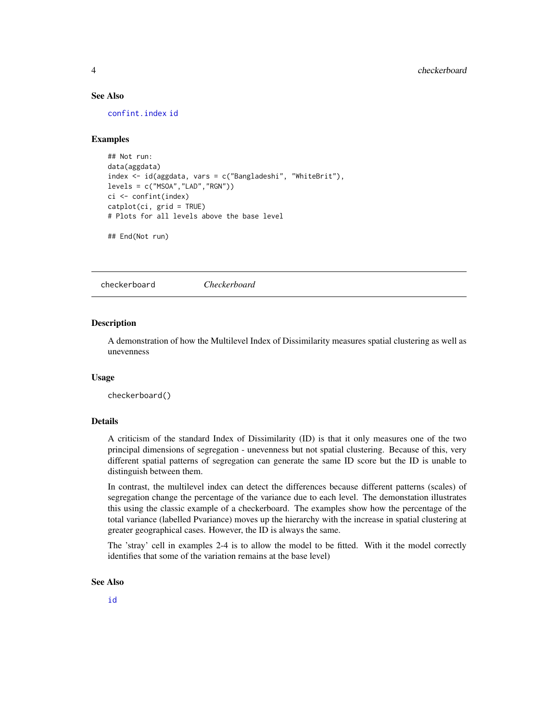#### <span id="page-3-0"></span>See Also

[confint.index](#page-4-1) [id](#page-8-1)

#### Examples

```
## Not run:
data(aggdata)
index <- id(aggdata, vars = c("Bangladeshi", "WhiteBrit"),
levels = c("MSOA", "LAD", "RGN"))ci <- confint(index)
catplot(ci, grid = TRUE)
# Plots for all levels above the base level
```

```
## End(Not run)
```
<span id="page-3-1"></span>checkerboard *Checkerboard*

#### Description

A demonstration of how the Multilevel Index of Dissimilarity measures spatial clustering as well as unevenness

#### Usage

checkerboard()

#### Details

A criticism of the standard Index of Dissimilarity (ID) is that it only measures one of the two principal dimensions of segregation - unevenness but not spatial clustering. Because of this, very different spatial patterns of segregation can generate the same ID score but the ID is unable to distinguish between them.

In contrast, the multilevel index can detect the differences because different patterns (scales) of segregation change the percentage of the variance due to each level. The demonstation illustrates this using the classic example of a checkerboard. The examples show how the percentage of the total variance (labelled Pvariance) moves up the hierarchy with the increase in spatial clustering at greater geographical cases. However, the ID is always the same.

The 'stray' cell in examples 2-4 is to allow the model to be fitted. With it the model correctly identifies that some of the variation remains at the base level)

#### See Also

[id](#page-8-1)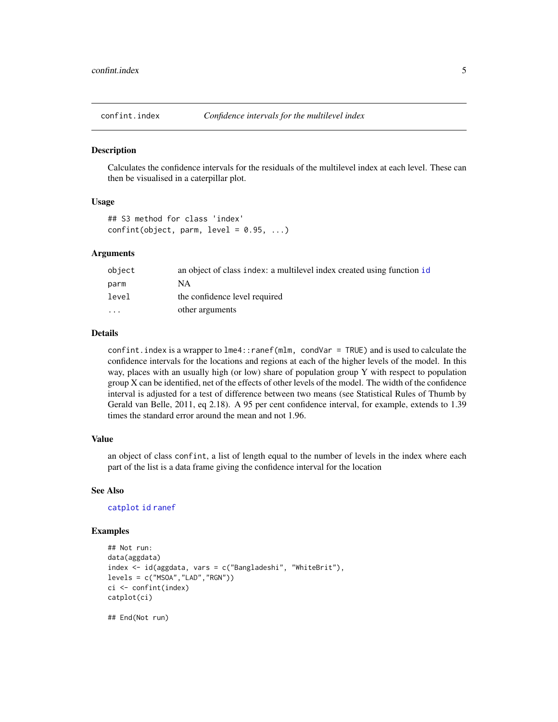<span id="page-4-1"></span><span id="page-4-0"></span>

#### Description

Calculates the confidence intervals for the residuals of the multilevel index at each level. These can then be visualised in a caterpillar plot.

#### Usage

```
## S3 method for class 'index'
confint(object, parm, level = 0.95, ...)
```
#### Arguments

| object               | an object of class index: a multilevel index created using function id |
|----------------------|------------------------------------------------------------------------|
| parm                 | NΑ                                                                     |
| level                | the confidence level required                                          |
| $\ddot{\phantom{0}}$ | other arguments                                                        |
|                      |                                                                        |

## Details

confint. index is a wrapper to  $l$ me4:: ranef(mlm, condVar = TRUE) and is used to calculate the confidence intervals for the locations and regions at each of the higher levels of the model. In this way, places with an usually high (or low) share of population group Y with respect to population group X can be identified, net of the effects of other levels of the model. The width of the confidence interval is adjusted for a test of difference between two means (see Statistical Rules of Thumb by Gerald van Belle, 2011, eq 2.18). A 95 per cent confidence interval, for example, extends to 1.39 times the standard error around the mean and not 1.96.

#### Value

an object of class confint, a list of length equal to the number of levels in the index where each part of the list is a data frame giving the confidence interval for the location

#### See Also

#### [catplot](#page-2-1) [id](#page-8-1) [ranef](#page-0-0)

#### Examples

```
## Not run:
data(aggdata)
index <- id(aggdata, vars = c("Bangladeshi", "WhiteBrit"),
levels = c("MSOA","LAD","RGN"))
ci <- confint(index)
catplot(ci)
```
## End(Not run)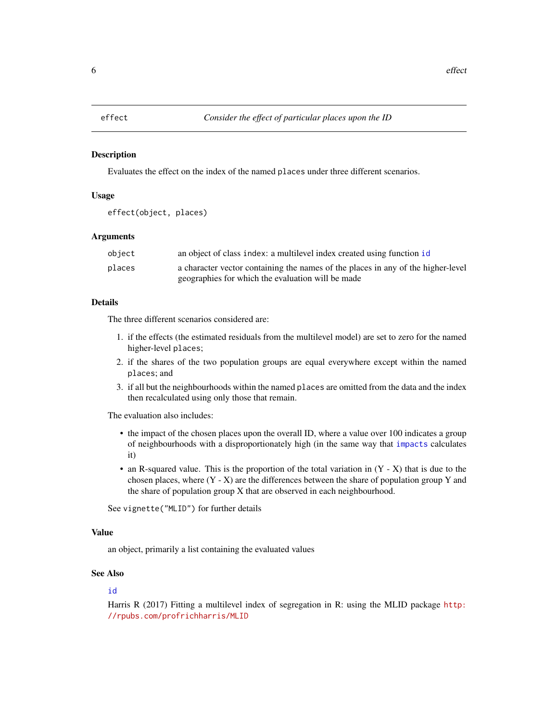#### <span id="page-5-1"></span><span id="page-5-0"></span>Description

Evaluates the effect on the index of the named places under three different scenarios.

#### Usage

```
effect(object, places)
```
# **Arguments**

| object | an object of class index: a multilevel index created using function id           |
|--------|----------------------------------------------------------------------------------|
| places | a character vector containing the names of the places in any of the higher-level |
|        | geographies for which the evaluation will be made                                |

#### Details

The three different scenarios considered are:

- 1. if the effects (the estimated residuals from the multilevel model) are set to zero for the named higher-level places;
- 2. if the shares of the two population groups are equal everywhere except within the named places; and
- 3. if all but the neighbourhoods within the named places are omitted from the data and the index then recalculated using only those that remain.

The evaluation also includes:

- the impact of the chosen places upon the overall ID, where a value over 100 indicates a group of neighbourhoods with a disproportionately high (in the same way that [impacts](#page-10-1) calculates it)
- an R-squared value. This is the proportion of the total variation in  $(Y X)$  that is due to the chosen places, where  $(Y - X)$  are the differences between the share of population group Y and the share of population group X that are observed in each neighbourhood.

See vignette("MLID") for further details

# Value

an object, primarily a list containing the evaluated values

# See Also

#### [id](#page-8-1)

Harris R (2017) Fitting a multilevel index of segregation in R: using the MLID package [http:](http://rpubs.com/profrichharris/MLID) [//rpubs.com/profrichharris/MLID](http://rpubs.com/profrichharris/MLID)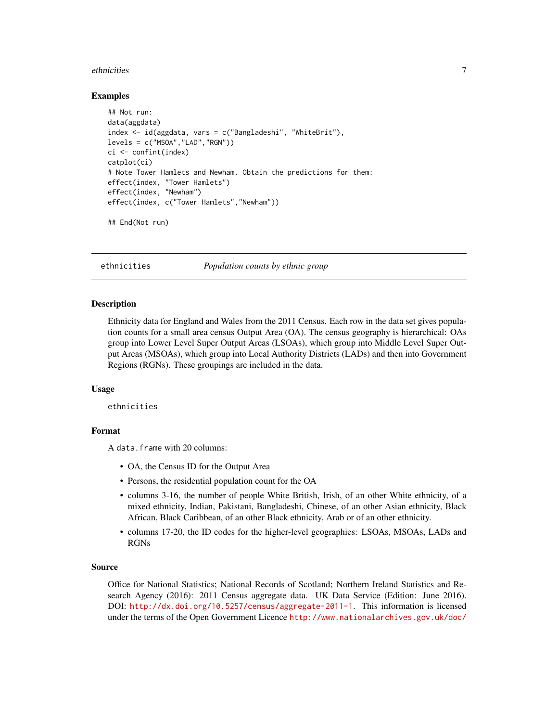#### <span id="page-6-0"></span>ethnicities **7**

#### Examples

```
## Not run:
data(aggdata)
index <- id(aggdata, vars = c("Bangladeshi", "WhiteBrit"),
levels = c("MSOA", "LAD", "RGN"))ci <- confint(index)
catplot(ci)
# Note Tower Hamlets and Newham. Obtain the predictions for them:
effect(index, "Tower Hamlets")
effect(index, "Newham")
effect(index, c("Tower Hamlets","Newham"))
```

```
## End(Not run)
```
<span id="page-6-1"></span>

ethnicities *Population counts by ethnic group*

#### Description

Ethnicity data for England and Wales from the 2011 Census. Each row in the data set gives population counts for a small area census Output Area (OA). The census geography is hierarchical: OAs group into Lower Level Super Output Areas (LSOAs), which group into Middle Level Super Output Areas (MSOAs), which group into Local Authority Districts (LADs) and then into Government Regions (RGNs). These groupings are included in the data.

#### Usage

ethnicities

# Format

A data.frame with 20 columns:

- OA, the Census ID for the Output Area
- Persons, the residential population count for the OA
- columns 3-16, the number of people White British, Irish, of an other White ethnicity, of a mixed ethnicity, Indian, Pakistani, Bangladeshi, Chinese, of an other Asian ethnicity, Black African, Black Caribbean, of an other Black ethnicity, Arab or of an other ethnicity.
- columns 17-20, the ID codes for the higher-level geographies: LSOAs, MSOAs, LADs and RGNs

#### Source

Office for National Statistics; National Records of Scotland; Northern Ireland Statistics and Research Agency (2016): 2011 Census aggregate data. UK Data Service (Edition: June 2016). DOI: <http://dx.doi.org/10.5257/census/aggregate-2011-1>. This information is licensed under the terms of the Open Government Licence [http://www.nationalarchives.gov.uk/doc/](http://www.nationalarchives.gov.uk/doc/open-government-licence/version/3)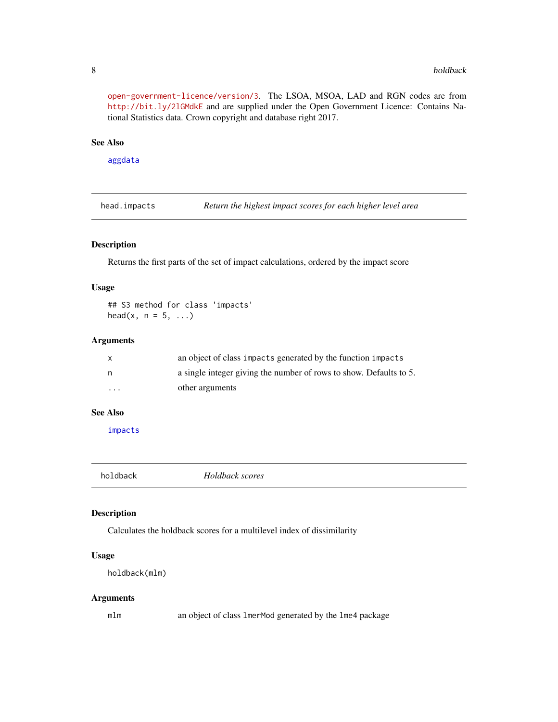[open-government-licence/version/3](http://www.nationalarchives.gov.uk/doc/open-government-licence/version/3). The LSOA, MSOA, LAD and RGN codes are from <http://bit.ly/2lGMdkE> and are supplied under the Open Government Licence: Contains National Statistics data. Crown copyright and database right 2017.

#### See Also

[aggdata](#page-1-1)

head.impacts *Return the highest impact scores for each higher level area*

#### Description

Returns the first parts of the set of impact calculations, ordered by the impact score

#### Usage

## S3 method for class 'impacts' head(x,  $n = 5, ...$ )

# Arguments

|                         | an object of class impacts generated by the function impacts       |
|-------------------------|--------------------------------------------------------------------|
| n.                      | a single integer giving the number of rows to show. Defaults to 5. |
| $\cdot$ $\cdot$ $\cdot$ | other arguments                                                    |

# See Also

[impacts](#page-10-1)

<span id="page-7-1"></span>

| holdback | Holdback scores |  |
|----------|-----------------|--|
|          |                 |  |

#### Description

Calculates the holdback scores for a multilevel index of dissimilarity

# Usage

```
holdback(mlm)
```
#### Arguments

mlm an object of class lmerMod generated by the lme4 package

<span id="page-7-0"></span>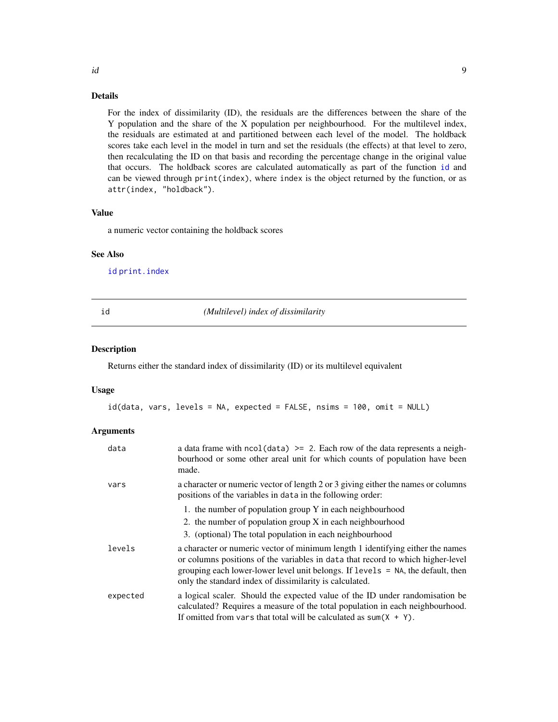#### <span id="page-8-0"></span>Details

For the index of dissimilarity (ID), the residuals are the differences between the share of the Y population and the share of the X population per neighbourhood. For the multilevel index, the residuals are estimated at and partitioned between each level of the model. The holdback scores take each level in the model in turn and set the residuals (the effects) at that level to zero, then recalculating the ID on that basis and recording the percentage change in the original value that occurs. The holdback scores are calculated automatically as part of the function [id](#page-8-1) and can be viewed through print(index), where index is the object returned by the function, or as attr(index, "holdback").

# Value

a numeric vector containing the holdback scores

#### See Also

[id](#page-8-1) [print.index](#page-14-1)

<span id="page-8-1"></span>

id *(Multilevel) index of dissimilarity*

#### Description

Returns either the standard index of dissimilarity (ID) or its multilevel equivalent

#### Usage

id(data, vars, levels = NA, expected = FALSE, nsims = 100, omit = NULL)

#### Arguments

| data     | a data frame with $\text{ncol}(data) \geq 2$ . Each row of the data represents a neigh-<br>bourhood or some other areal unit for which counts of population have been<br>made.                                                                                                                                  |
|----------|-----------------------------------------------------------------------------------------------------------------------------------------------------------------------------------------------------------------------------------------------------------------------------------------------------------------|
| vars     | a character or numeric vector of length 2 or 3 giving either the names or columns<br>positions of the variables in data in the following order:                                                                                                                                                                 |
|          | 1. the number of population group $Y$ in each neighbourhood                                                                                                                                                                                                                                                     |
|          | 2. the number of population group X in each neighbourhood                                                                                                                                                                                                                                                       |
|          | 3. (optional) The total population in each neighbourhood                                                                                                                                                                                                                                                        |
| levels   | a character or numeric vector of minimum length 1 identifying either the names<br>or columns positions of the variables in data that record to which higher-level<br>grouping each lower-lower level unit belongs. If levels = NA, the default, then<br>only the standard index of dissimilarity is calculated. |
| expected | a logical scaler. Should the expected value of the ID under randomisation be<br>calculated? Requires a measure of the total population in each neighbourhood.<br>If omitted from vars that total will be calculated as sum( $X + Y$ ).                                                                          |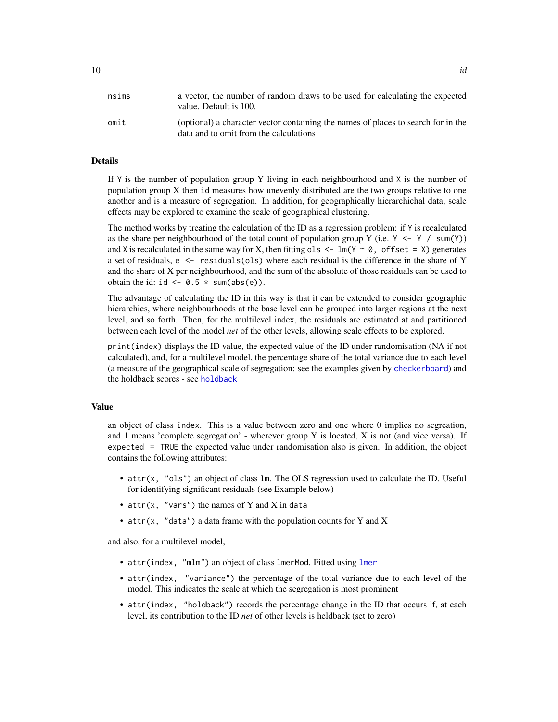#### <span id="page-9-0"></span>Details

If  $Y$  is the number of population group Y living in each neighbourhood and X is the number of population group X then id measures how unevenly distributed are the two groups relative to one another and is a measure of segregation. In addition, for geographically hierarchichal data, scale effects may be explored to examine the scale of geographical clustering.

The method works by treating the calculation of the ID as a regression problem: if Y is recalculated as the share per neighbourhood of the total count of population group Y (i.e.  $Y \leq Y / \text{sum}(Y)$ ) and X is recalculated in the same way for X, then fitting ols  $\leq \ln(Y \sim 0)$ , offset = X) generates a set of residuals, e <- residuals(ols) where each residual is the difference in the share of Y and the share of X per neighbourhood, and the sum of the absolute of those residuals can be used to obtain the id: id  $\leq -0.5 \times \text{sum(abs(e))}.$ 

The advantage of calculating the ID in this way is that it can be extended to consider geographic hierarchies, where neighbourhoods at the base level can be grouped into larger regions at the next level, and so forth. Then, for the multilevel index, the residuals are estimated at and partitioned between each level of the model *net* of the other levels, allowing scale effects to be explored.

print(index) displays the ID value, the expected value of the ID under randomisation (NA if not calculated), and, for a multilevel model, the percentage share of the total variance due to each level (a measure of the geographical scale of segregation: see the examples given by [checkerboard](#page-3-1)) and the holdback scores - see [holdback](#page-7-1)

#### Value

an object of class index. This is a value between zero and one where 0 implies no segreation, and 1 means 'complete segregation' - wherever group Y is located, X is not (and vice versa). If expected = TRUE the expected value under randomisation also is given. In addition, the object contains the following attributes:

- attr(x, "ols") an object of class lm. The OLS regression used to calculate the ID. Useful for identifying significant residuals (see Example below)
- attr(x, "vars") the names of Y and X in data
- attr(x, "data") a data frame with the population counts for Y and X

and also, for a multilevel model,

- attr(index, "mlm") an object of class [lmer](#page-0-0)Mod. Fitted using lmer
- attr(index, "variance") the percentage of the total variance due to each level of the model. This indicates the scale at which the segregation is most prominent
- attr(index, "holdback") records the percentage change in the ID that occurs if, at each level, its contribution to the ID *net* of other levels is heldback (set to zero)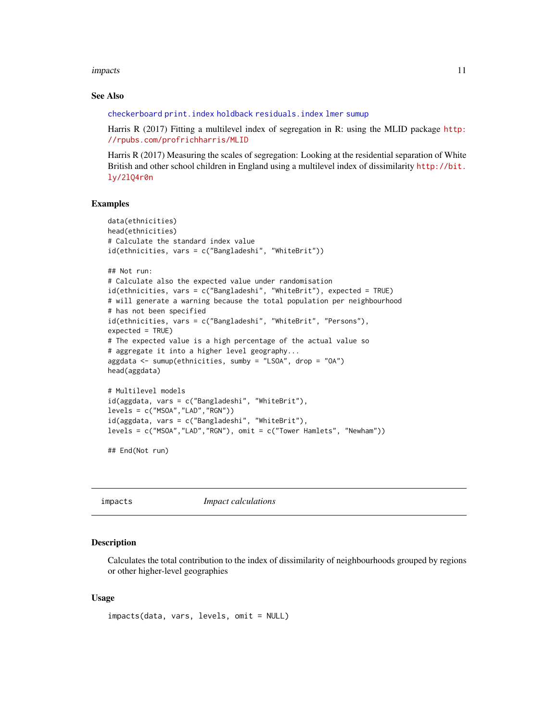<span id="page-10-0"></span>impacts that the contract of the contract of the contract of the contract of the contract of the contract of the contract of the contract of the contract of the contract of the contract of the contract of the contract of t

#### See Also

[checkerboard](#page-3-1) [print.index](#page-14-1) [holdback](#page-7-1) [residuals.index](#page-14-2) [lmer](#page-0-0) [sumup](#page-16-1)

Harris R (2017) Fitting a multilevel index of segregation in R: using the MLID package [http:](http://rpubs.com/profrichharris/MLID) [//rpubs.com/profrichharris/MLID](http://rpubs.com/profrichharris/MLID)

Harris R (2017) Measuring the scales of segregation: Looking at the residential separation of White British and other school children in England using a multilevel index of dissimilarity [http://bit.](http://bit.ly/2lQ4r0n) [ly/2lQ4r0n](http://bit.ly/2lQ4r0n)

#### Examples

```
data(ethnicities)
head(ethnicities)
# Calculate the standard index value
id(ethnicities, vars = c("Bangladeshi", "WhiteBrit"))
## Not run:
# Calculate also the expected value under randomisation
id(ethnicities, vars = c("Bangladeshi", "WhiteBrit"), expected = TRUE)
# will generate a warning because the total population per neighbourhood
# has not been specified
id(ethnicities, vars = c("Bangladeshi", "WhiteBrit", "Persons"),
expected = TRUE)
# The expected value is a high percentage of the actual value so
# aggregate it into a higher level geography...
aggdata <- sumup(ethnicities, sumby = "LSOA", drop = "OA")
head(aggdata)
# Multilevel models
id(aggdata, vars = c("Bangladeshi", "WhiteBrit"),
levels = c("MSOA","LAD","RGN"))
id(aggdata, vars = c("Bangladeshi", "WhiteBrit"),
levels = c("MSOA","LAD","RGN"), omit = c("Tower Hamlets", "Newham"))
```
## End(Not run)

<span id="page-10-1"></span>impacts *Impact calculations*

# **Description**

Calculates the total contribution to the index of dissimilarity of neighbourhoods grouped by regions or other higher-level geographies

#### Usage

```
impacts(data, vars, levels, omit = NULL)
```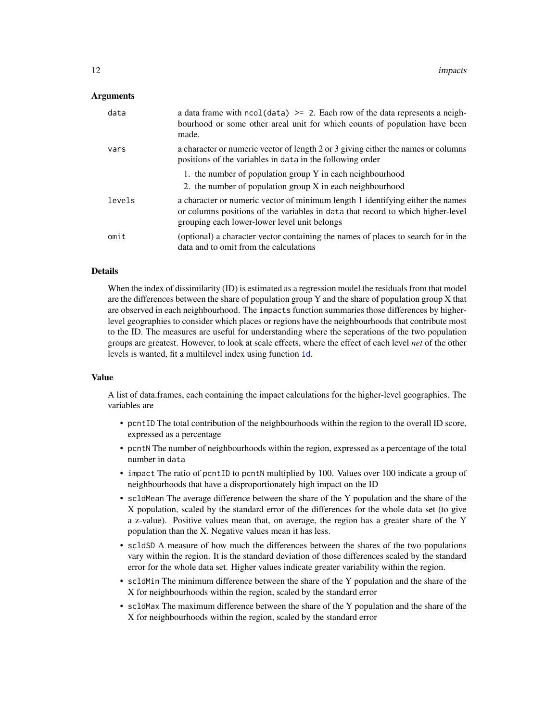#### <span id="page-11-0"></span>Arguments

| data   | a data frame with $ncol(data) \ge 2$ . Each row of the data represents a neigh-<br>bourhood or some other areal unit for which counts of population have been<br>made.                                            |
|--------|-------------------------------------------------------------------------------------------------------------------------------------------------------------------------------------------------------------------|
| vars   | a character or numeric vector of length 2 or 3 giving either the names or columns<br>positions of the variables in data in the following order                                                                    |
|        | 1. the number of population group Y in each neighbourhood                                                                                                                                                         |
|        | 2. the number of population group X in each neighbourhood                                                                                                                                                         |
| levels | a character or numeric vector of minimum length 1 identifying either the names<br>or columns positions of the variables in data that record to which higher-level<br>grouping each lower-lower level unit belongs |
| omit   | (optional) a character vector containing the names of places to search for in the<br>data and to omit from the calculations                                                                                       |

#### Details

When the index of dissimilarity (ID) is estimated as a regression model the residuals from that model are the differences between the share of population group  $Y$  and the share of population group  $X$  that are observed in each neighbourhood. The impacts function summaries those differences by higherlevel geographies to consider which places or regions have the neighbourhoods that contribute most to the ID. The measures are useful for understanding where the seperations of the two population groups are greatest. However, to look at scale effects, where the effect of each level *net* of the other levels is wanted, fit a multilevel index using function [id](#page-8-1).

#### Value

A list of data.frames, each containing the impact calculations for the higher-level geographies. The variables are

- pcntID The total contribution of the neighbourhoods within the region to the overall ID score, expressed as a percentage
- pcntN The number of neighbourhoods within the region, expressed as a percentage of the total number in data
- impact The ratio of pcntID to pcntN multiplied by 100. Values over 100 indicate a group of neighbourhoods that have a disproportionately high impact on the ID
- scldMean The average difference between the share of the Y population and the share of the X population, scaled by the standard error of the differences for the whole data set (to give a z-value). Positive values mean that, on average, the region has a greater share of the Y population than the X. Negative values mean it has less.
- scldSD A measure of how much the differences between the shares of the two populations vary within the region. It is the standard deviation of those differences scaled by the standard error for the whole data set. Higher values indicate greater variability within the region.
- scldMin The minimum difference between the share of the Y population and the share of the X for neighbourhoods within the region, scaled by the standard error
- scldMax The maximum difference between the share of the Y population and the share of the X for neighbourhoods within the region, scaled by the standard error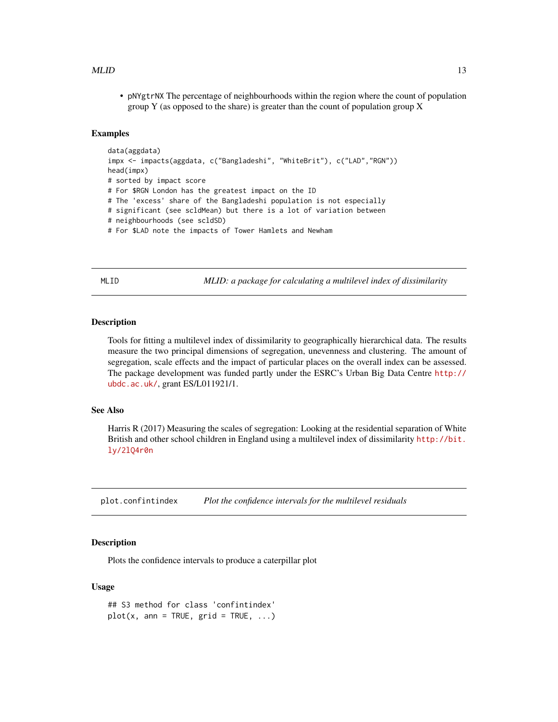#### <span id="page-12-0"></span> $MLID$  13

• pNYgtrNX The percentage of neighbourhoods within the region where the count of population group Y (as opposed to the share) is greater than the count of population group  $X$ 

#### Examples

```
data(aggdata)
impx <- impacts(aggdata, c("Bangladeshi", "WhiteBrit"), c("LAD","RGN"))
head(impx)
# sorted by impact score
# For $RGN London has the greatest impact on the ID
# The 'excess' share of the Bangladeshi population is not especially
# significant (see scldMean) but there is a lot of variation between
# neighbourhoods (see scldSD)
# For $LAD note the impacts of Tower Hamlets and Newham
```
MLID *MLID: a package for calculating a multilevel index of dissimilarity*

#### **Description**

Tools for fitting a multilevel index of dissimilarity to geographically hierarchical data. The results measure the two principal dimensions of segregation, unevenness and clustering. The amount of segregation, scale effects and the impact of particular places on the overall index can be assessed. The package development was funded partly under the ESRC's Urban Big Data Centre [http://](http://ubdc.ac.uk/) [ubdc.ac.uk/](http://ubdc.ac.uk/), grant ES/L011921/1.

# See Also

Harris R (2017) Measuring the scales of segregation: Looking at the residential separation of White British and other school children in England using a multilevel index of dissimilarity [http://bit.](http://bit.ly/2lQ4r0n) [ly/2lQ4r0n](http://bit.ly/2lQ4r0n)

<span id="page-12-1"></span>plot.confintindex *Plot the confidence intervals for the multilevel residuals*

# **Description**

Plots the confidence intervals to produce a caterpillar plot

#### Usage

```
## S3 method for class 'confintindex'
plot(x, ann = TRUE, grid = TRUE, ...)
```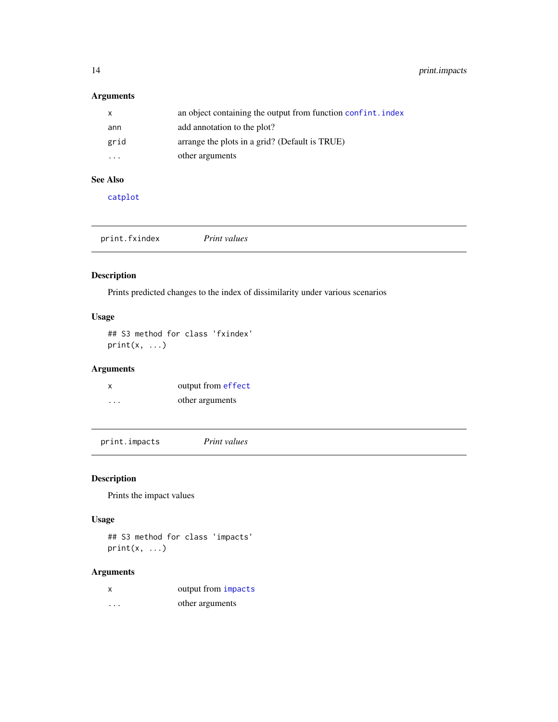<span id="page-13-0"></span>14 print.impacts

# Arguments

| x                       | an object containing the output from function confint. index |
|-------------------------|--------------------------------------------------------------|
| ann                     | add annotation to the plot?                                  |
| grid                    | arrange the plots in a grid? (Default is TRUE)               |
| $\cdot$ $\cdot$ $\cdot$ | other arguments                                              |

# See Also

[catplot](#page-2-1)

| print.fxindex | Print values |  |
|---------------|--------------|--|
|               |              |  |

# Description

Prints predicted changes to the index of dissimilarity under various scenarios

# Usage

## S3 method for class 'fxindex'  $print(x, \ldots)$ 

# Arguments

| X                    | output from effect |
|----------------------|--------------------|
| $\ddot{\phantom{0}}$ | other arguments    |

print.impacts *Print values*

# Description

Prints the impact values

# Usage

## S3 method for class 'impacts'  $print(x, \ldots)$ 

# Arguments

| X                    | output from impacts |
|----------------------|---------------------|
| $\ddot{\phantom{0}}$ | other arguments     |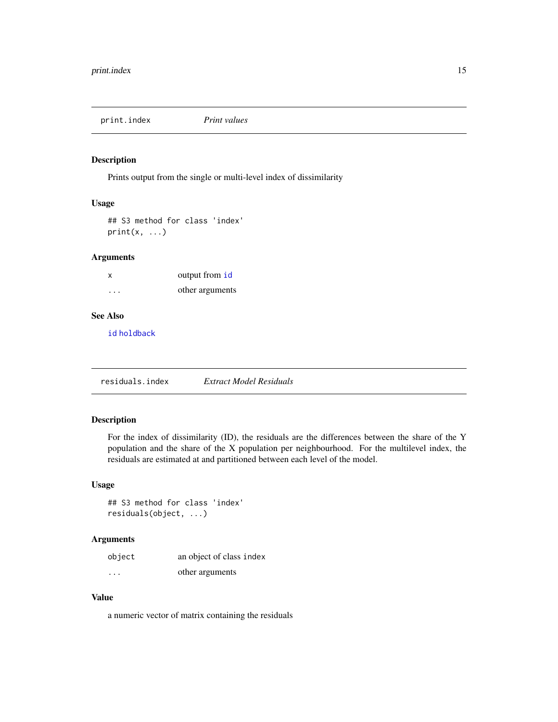<span id="page-14-1"></span><span id="page-14-0"></span>print.index *Print values*

# Description

Prints output from the single or multi-level index of dissimilarity

## Usage

## S3 method for class 'index'  $print(x, \ldots)$ 

#### Arguments

| $\boldsymbol{\mathsf{x}}$ | output from id  |
|---------------------------|-----------------|
| $\ddot{\phantom{0}}$      | other arguments |

# See Also

[id](#page-8-1) [holdback](#page-7-1)

<span id="page-14-2"></span>residuals.index *Extract Model Residuals*

# Description

For the index of dissimilarity (ID), the residuals are the differences between the share of the Y population and the share of the X population per neighbourhood. For the multilevel index, the residuals are estimated at and partitioned between each level of the model.

#### Usage

```
## S3 method for class 'index'
residuals(object, ...)
```
#### Arguments

| object   | an object of class index |
|----------|--------------------------|
| $\cdots$ | other arguments          |

# Value

a numeric vector of matrix containing the residuals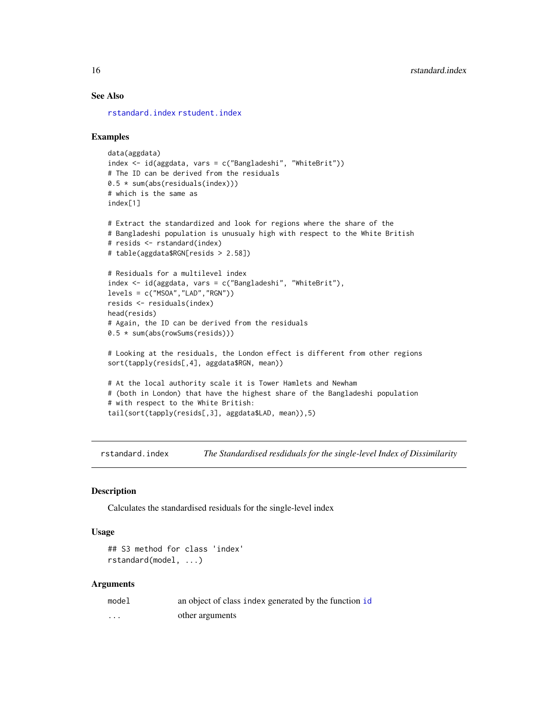# See Also

[rstandard.index](#page-15-1) [rstudent.index](#page-16-2)

#### Examples

```
data(aggdata)
index <- id(aggdata, vars = c("Bangladeshi", "WhiteBrit"))
# The ID can be derived from the residuals
0.5 * sum(abs(residuals(index)))
# which is the same as
index[1]
# Extract the standardized and look for regions where the share of the
# Bangladeshi population is unusualy high with respect to the White British
# resids <- rstandard(index)
# table(aggdata$RGN[resids > 2.58])
# Residuals for a multilevel index
index <- id(aggdata, vars = c("Bangladeshi", "WhiteBrit"),
levels = c("MSOA","LAD","RGN"))
resids <- residuals(index)
head(resids)
# Again, the ID can be derived from the residuals
0.5 * sum(abs(rowSums(resids)))
# Looking at the residuals, the London effect is different from other regions
sort(tapply(resids[,4], aggdata$RGN, mean))
# At the local authority scale it is Tower Hamlets and Newham
# (both in London) that have the highest share of the Bangladeshi population
# with respect to the White British:
tail(sort(tapply(resids[,3], aggdata$LAD, mean)),5)
```
<span id="page-15-1"></span>rstandard.index *The Standardised resdiduals for the single-level Index of Dissimilarity*

#### Description

Calculates the standardised residuals for the single-level index

#### Usage

```
## S3 method for class 'index'
rstandard(model, ...)
```
#### Arguments

| model    | an object of class index generated by the function id |
|----------|-------------------------------------------------------|
| $\cdots$ | other arguments                                       |

<span id="page-15-0"></span>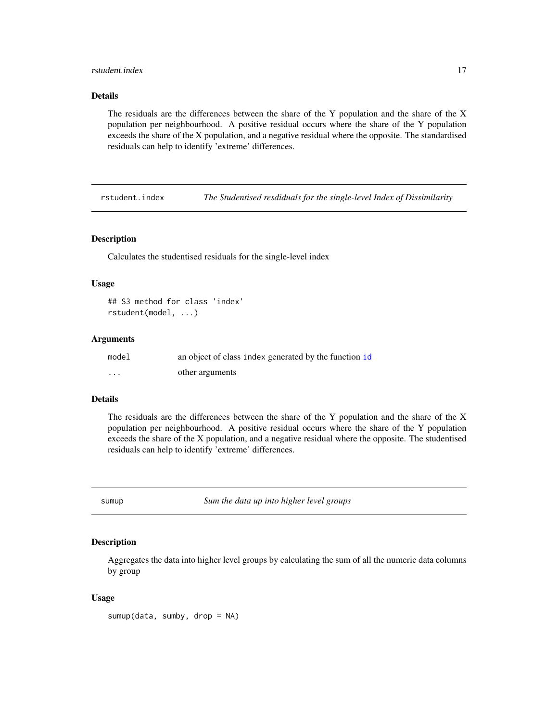#### <span id="page-16-0"></span>rstudent.index 17

#### Details

The residuals are the differences between the share of the Y population and the share of the X population per neighbourhood. A positive residual occurs where the share of the Y population exceeds the share of the X population, and a negative residual where the opposite. The standardised residuals can help to identify 'extreme' differences.

<span id="page-16-2"></span>rstudent.index *The Studentised resdiduals for the single-level Index of Dissimilarity*

#### Description

Calculates the studentised residuals for the single-level index

#### Usage

```
## S3 method for class 'index'
rstudent(model, ...)
```
#### Arguments

| model    | an object of class index generated by the function id |
|----------|-------------------------------------------------------|
| $\cdots$ | other arguments                                       |

#### Details

The residuals are the differences between the share of the Y population and the share of the X population per neighbourhood. A positive residual occurs where the share of the Y population exceeds the share of the X population, and a negative residual where the opposite. The studentised residuals can help to identify 'extreme' differences.

<span id="page-16-1"></span>sumup *Sum the data up into higher level groups*

## Description

Aggregates the data into higher level groups by calculating the sum of all the numeric data columns by group

#### Usage

sumup(data, sumby, drop = NA)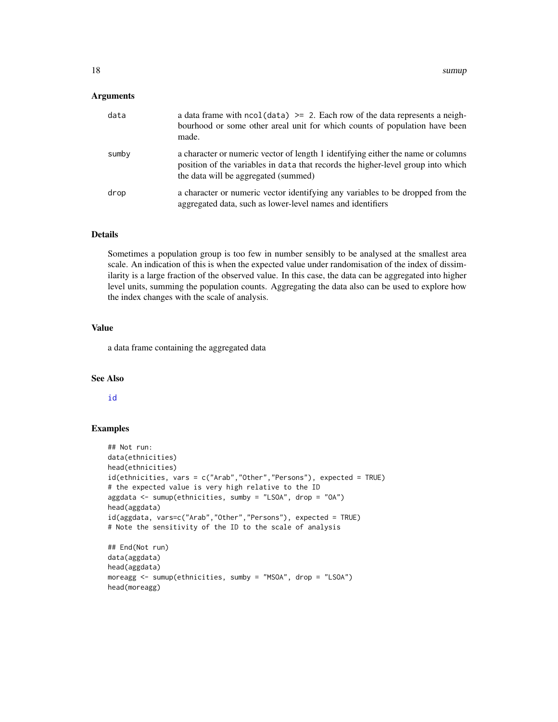#### <span id="page-17-0"></span>**Arguments**

| data  | a data frame with $\text{ncol}(data) \geq 2$ . Each row of the data represents a neigh-<br>bourhood or some other areal unit for which counts of population have been<br>made.                               |
|-------|--------------------------------------------------------------------------------------------------------------------------------------------------------------------------------------------------------------|
| sumby | a character or numeric vector of length 1 identifying either the name or columns<br>position of the variables in data that records the higher-level group into which<br>the data will be aggregated (summed) |
| drop  | a character or numeric vector identifying any variables to be dropped from the<br>aggregated data, such as lower-level names and identifiers                                                                 |

#### Details

Sometimes a population group is too few in number sensibly to be analysed at the smallest area scale. An indication of this is when the expected value under randomisation of the index of dissimilarity is a large fraction of the observed value. In this case, the data can be aggregated into higher level units, summing the population counts. Aggregating the data also can be used to explore how the index changes with the scale of analysis.

#### Value

a data frame containing the aggregated data

#### See Also

#### [id](#page-8-1)

#### Examples

```
## Not run:
data(ethnicities)
head(ethnicities)
id(ethnicities, vars = c("Arab","Other","Persons"), expected = TRUE)
# the expected value is very high relative to the ID
aggdata <- sumup(ethnicities, sumby = "LSOA", drop = "OA")
head(aggdata)
id(aggdata, vars=c("Arab","Other","Persons"), expected = TRUE)
# Note the sensitivity of the ID to the scale of analysis
## End(Not run)
data(aggdata)
head(aggdata)
moreagg <- sumup(ethnicities, sumby = "MSOA", drop = "LSOA")
head(moreagg)
```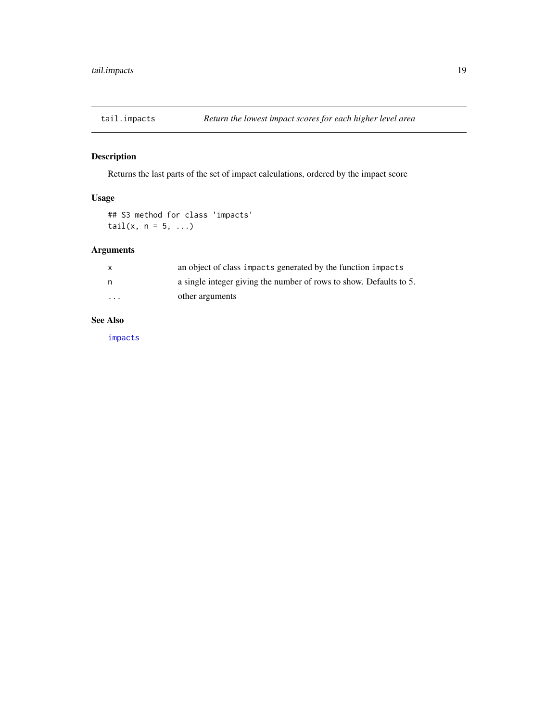<span id="page-18-0"></span>

# Description

Returns the last parts of the set of impact calculations, ordered by the impact score

# Usage

## S3 method for class 'impacts' tail $(x, n = 5, ...)$ 

# Arguments

| X        | an object of class impacts generated by the function impacts       |
|----------|--------------------------------------------------------------------|
| n        | a single integer giving the number of rows to show. Defaults to 5. |
| $\cdots$ | other arguments                                                    |

#### See Also

[impacts](#page-10-1)